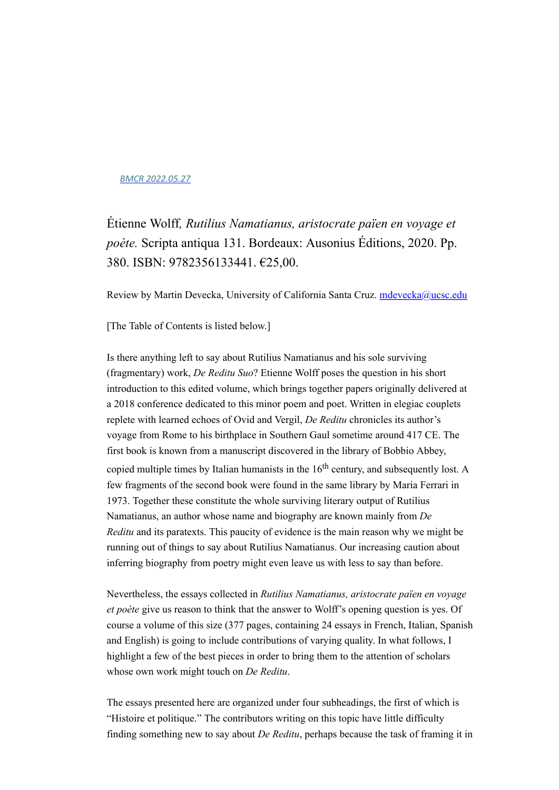## *[BMCR 2022.05.27](https://brynmawr.us1.list-manage.com/track/click?u=c302ee634698194cc76ef8a8b&id=0d19f72fd4&e=8f7380a1b5)*

Étienne Wolff*, Rutilius Namatianus, aristocrate païen en voyage et poète.* Scripta antiqua 131. Bordeaux: Ausonius Éditions, 2020. Pp. 380. ISBN: 9782356133441. €25,00.

Review by Martin Devecka, University of California Santa Cruz. [mdevecka@ucsc.edu](mailto:mdevecka@ucsc.edu)

[The Table of Contents is listed below.]

Is there anything left to say about Rutilius Namatianus and his sole surviving (fragmentary) work, *De Reditu Suo*? Etienne Wolff poses the question in his short introduction to this edited volume, which brings together papers originally delivered at a 2018 conference dedicated to this minor poem and poet. Written in elegiac couplets replete with learned echoes of Ovid and Vergil, *De Reditu* chronicles its author's voyage from Rome to his birthplace in Southern Gaul sometime around 417 CE. The first book is known from a manuscript discovered in the library of Bobbio Abbey, copied multiple times by Italian humanists in the  $16<sup>th</sup>$  century, and subsequently lost. A few fragments of the second book were found in the same library by Maria Ferrari in 1973. Together these constitute the whole surviving literary output of Rutilius Namatianus, an author whose name and biography are known mainly from *De Reditu* and its paratexts. This paucity of evidence is the main reason why we might be running out of things to say about Rutilius Namatianus. Our increasing caution about inferring biography from poetry might even leave us with less to say than before.

Nevertheless, the essays collected in *Rutilius Namatianus, aristocrate païen en voyage et poète* give us reason to think that the answer to Wolff's opening question is yes. Of course a volume of this size (377 pages, containing 24 essays in French, Italian, Spanish and English) is going to include contributions of varying quality. In what follows, I highlight a few of the best pieces in order to bring them to the attention of scholars whose own work might touch on *De Reditu*.

The essays presented here are organized under four subheadings, the first of which is "Histoire et politique." The contributors writing on this topic have little difficulty finding something new to say about *De Reditu*, perhaps because the task of framing it in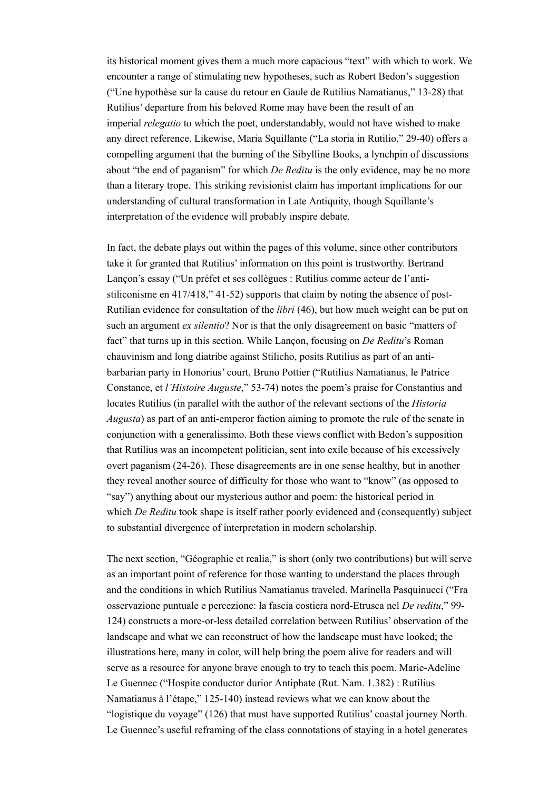its historical moment gives them a much more capacious "text" with which to work. We encounter a range of stimulating new hypotheses, such as Robert Bedon's suggestion ("Une hypothèse sur la cause du retour en Gaule de Rutilius Namatianus," 13-28) that Rutilius' departure from his beloved Rome may have been the result of an imperial *relegatio* to which the poet, understandably, would not have wished to make any direct reference. Likewise, Maria Squillante ("La storia in Rutilio," 29-40) offers a compelling argument that the burning of the Sibylline Books, a lynchpin of discussions about "the end of paganism" for which *De Reditu* is the only evidence, may be no more than a literary trope. This striking revisionist claim has important implications for our understanding of cultural transformation in Late Antiquity, though Squillante's interpretation of the evidence will probably inspire debate.

In fact, the debate plays out within the pages of this volume, since other contributors take it for granted that Rutilius' information on this point is trustworthy. Bertrand Lançon's essay ("Un préfet et ses collègues : Rutilius comme acteur de l'antistiliconisme en 417/418," 41-52) supports that claim by noting the absence of post-Rutilian evidence for consultation of the *libri* (46), but how much weight can be put on such an argument *ex silentio*? Nor is that the only disagreement on basic "matters of fact" that turns up in this section. While Lançon, focusing on *De Reditu*'s Roman chauvinism and long diatribe against Stilicho, posits Rutilius as part of an antibarbarian party in Honorius' court, Bruno Pottier ("Rutilius Namatianus, le Patrice Constance, et *l'Histoire Auguste*," 53-74) notes the poem's praise for Constantius and locates Rutilius (in parallel with the author of the relevant sections of the *Historia Augusta*) as part of an anti-emperor faction aiming to promote the rule of the senate in conjunction with a generalissimo. Both these views conflict with Bedon's supposition that Rutilius was an incompetent politician, sent into exile because of his excessively overt paganism (24-26). These disagreements are in one sense healthy, but in another they reveal another source of difficulty for those who want to "know" (as opposed to "say") anything about our mysterious author and poem: the historical period in which *De Reditu* took shape is itself rather poorly evidenced and (consequently) subject to substantial divergence of interpretation in modern scholarship.

The next section, "Géographie et realia," is short (only two contributions) but will serve as an important point of reference for those wanting to understand the places through and the conditions in which Rutilius Namatianus traveled. Marinella Pasquinucci ("Fra osservazione puntuale e percezione: la fascia costiera nord-Etrusca nel *De reditu*," 99- 124) constructs a more-or-less detailed correlation between Rutilius' observation of the landscape and what we can reconstruct of how the landscape must have looked; the illustrations here, many in color, will help bring the poem alive for readers and will serve as a resource for anyone brave enough to try to teach this poem. Marie-Adeline Le Guennec ("Hospite conductor durior Antiphate (Rut. Nam. 1.382) : Rutilius Namatianus à l'étape," 125-140) instead reviews what we can know about the "logistique du voyage" (126) that must have supported Rutilius' coastal journey North. Le Guennec's useful reframing of the class connotations of staying in a hotel generates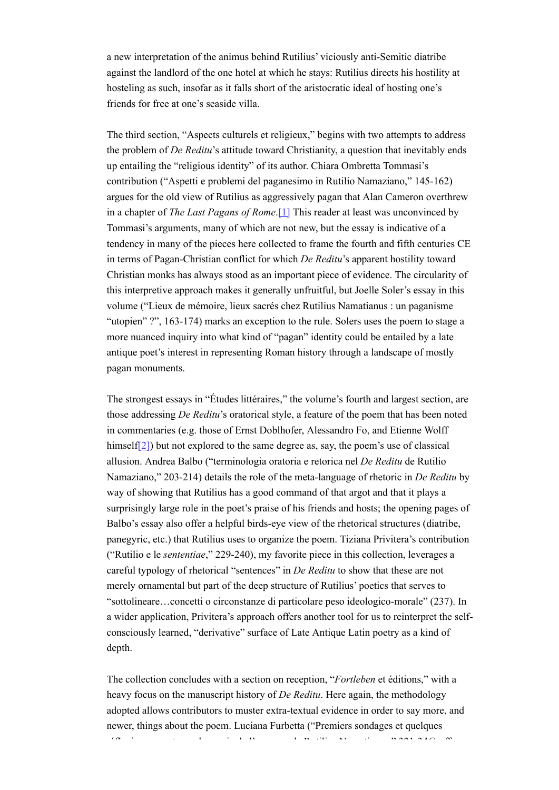a new interpretation of the animus behind Rutilius' viciously anti-Semitic diatribe against the landlord of the one hotel at which he stays: Rutilius directs his hostility at hosteling as such, insofar as it falls short of the aristocratic ideal of hosting one's friends for free at one's seaside villa.

The third section, "Aspects culturels et religieux," begins with two attempts to address the problem of *De Reditu*'s attitude toward Christianity, a question that inevitably ends up entailing the "religious identity" of its author. Chiara Ombretta Tommasi's contribution ("Aspetti e problemi del paganesimo in Rutilio Namaziano," 145-162) argues for the old view of Rutilius as aggressively pagan that Alan Cameron overthrew in a chapter of *The Last Pagans of Rome*.[1] This reader at least was unconvinced by Tommasi's arguments, many of which are not new, but the essay is indicative of a tendency in many of the pieces here collected to frame the fourth and fifth centuries CE in terms of Pagan-Christian conflict for which *De Reditu*'s apparent hostility toward Christian monks has always stood as an important piece of evidence. The circularity of this interpretive approach makes it generally unfruitful, but Joelle Soler's essay in this volume ("Lieux de mémoire, lieux sacrés chez Rutilius Namatianus : un paganisme "utopien" ?", 163-174) marks an exception to the rule. Solers uses the poem to stage a more nuanced inquiry into what kind of "pagan" identity could be entailed by a late antique poet's interest in representing Roman history through a landscape of mostly pagan monuments.

The strongest essays in "Études littéraires," the volume's fourth and largest section, are those addressing *De Reditu*'s oratorical style, a feature of the poem that has been noted in commentaries (e.g. those of Ernst Doblhofer, Alessandro Fo, and Etienne Wolff himself<sup>[2]</sup>) but not explored to the same degree as, say, the poem's use of classical allusion. Andrea Balbo ("terminologia oratoria e retorica nel *De Reditu* de Rutilio Namaziano," 203-214) details the role of the meta-language of rhetoric in *De Reditu* by way of showing that Rutilius has a good command of that argot and that it plays a surprisingly large role in the poet's praise of his friends and hosts; the opening pages of Balbo's essay also offer a helpful birds-eye view of the rhetorical structures (diatribe, panegyric, etc.) that Rutilius uses to organize the poem. Tiziana Privitera's contribution ("Rutilio e le *sententiae*," 229-240), my favorite piece in this collection, leverages a careful typology of rhetorical "sentences" in *De Reditu* to show that these are not merely ornamental but part of the deep structure of Rutilius' poetics that serves to "sottolineare…concetti o circonstanze di particolare peso ideologico-morale" (237). In a wider application, Privitera's approach offers another tool for us to reinterpret the selfconsciously learned, "derivative" surface of Late Antique Latin poetry as a kind of depth.

The collection concludes with a section on reception, "*Fortleben* et éditions," with a heavy focus on the manuscript history of *De Reditu*. Here again, the methodology adopted allows contributors to muster extra-textual evidence in order to say more, and newer, things about the poem. Luciana Furbetta ("Premiers sondages et quelques réflexions pour tracer la survie de l'ouvrage de Rutilius Namatianus," 321-346) offers a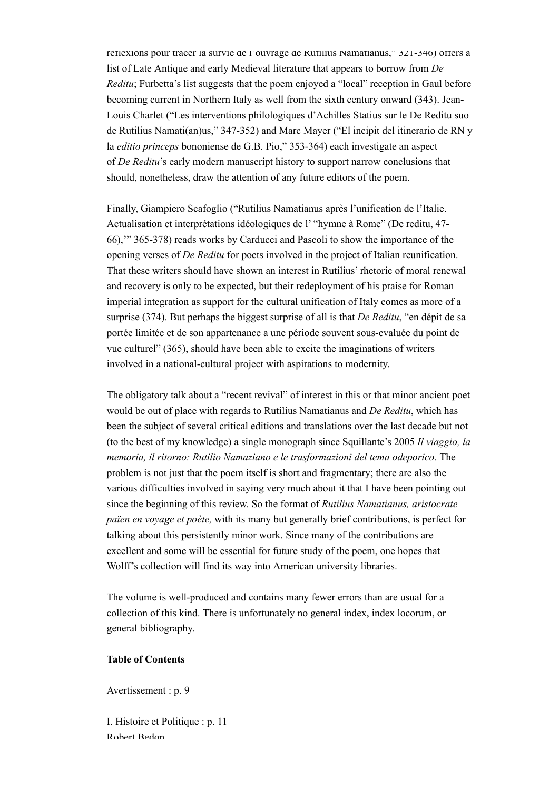réflexions pour tracer la survie de l'ouvrage de Rutilius Namatianus, 321-346) offers a list of Late Antique and early Medieval literature that appears to borrow from *De Reditu*; Furbetta's list suggests that the poem enjoyed a "local" reception in Gaul before becoming current in Northern Italy as well from the sixth century onward (343). Jean-Louis Charlet ("Les interventions philologiques d'Achilles Statius sur le De Reditu suo de Rutilius Namati(an)us," 347-352) and Marc Mayer ("El incipit del itinerario de RN y la *editio princeps* bononiense de G.B. Pio," 353-364) each investigate an aspect of *De Reditu*'s early modern manuscript history to support narrow conclusions that should, nonetheless, draw the attention of any future editors of the poem.

Finally, Giampiero Scafoglio ("Rutilius Namatianus après l'unification de l'Italie. Actualisation et interprétations idéologiques de l' "hymne à Rome" (De reditu, 47- 66),'" 365-378) reads works by Carducci and Pascoli to show the importance of the opening verses of *De Reditu* for poets involved in the project of Italian reunification. That these writers should have shown an interest in Rutilius' rhetoric of moral renewal and recovery is only to be expected, but their redeployment of his praise for Roman imperial integration as support for the cultural unification of Italy comes as more of a surprise (374). But perhaps the biggest surprise of all is that *De Reditu*, "en dépit de sa portée limitée et de son appartenance a une période souvent sous-evaluée du point de vue culturel" (365), should have been able to excite the imaginations of writers involved in a national-cultural project with aspirations to modernity.

The obligatory talk about a "recent revival" of interest in this or that minor ancient poet would be out of place with regards to Rutilius Namatianus and *De Reditu*, which has been the subject of several critical editions and translations over the last decade but not (to the best of my knowledge) a single monograph since Squillante's 2005 *Il viaggio, la memoria, il ritorno: Rutilio Namaziano e le trasformazioni del tema odeporico*. The problem is not just that the poem itself is short and fragmentary; there are also the various difficulties involved in saying very much about it that I have been pointing out since the beginning of this review. So the format of *Rutilius Namatianus, aristocrate païen en voyage et poète,* with its many but generally brief contributions, is perfect for talking about this persistently minor work. Since many of the contributions are excellent and some will be essential for future study of the poem, one hopes that Wolff's collection will find its way into American university libraries.

The volume is well-produced and contains many fewer errors than are usual for a collection of this kind. There is unfortunately no general index, index locorum, or general bibliography.

## **Table of Contents**

Avertissement : p. 9

I. Histoire et Politique : p. 11 Robert Bedon,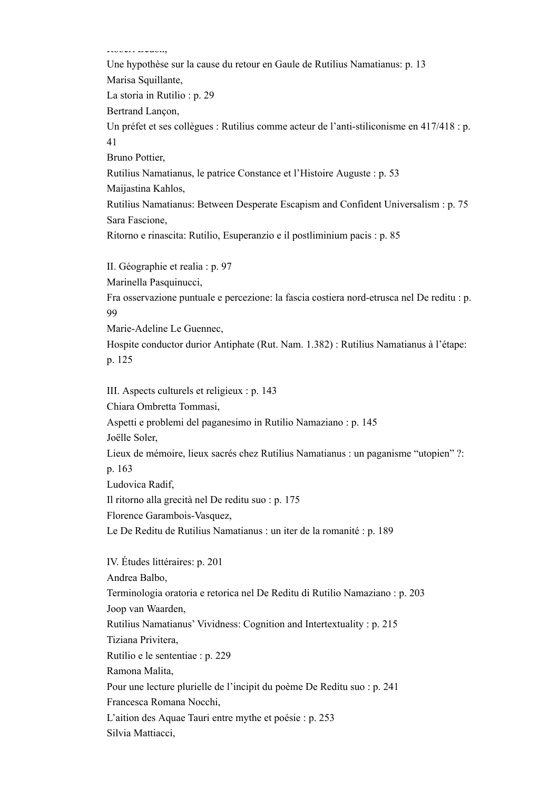Robert Bedon,

Une hypothèse sur la cause du retour en Gaule de Rutilius Namatianus: p. 13 Marisa Squillante, La storia in Rutilio : p. 29 Bertrand Lançon, Un préfet et ses collègues : Rutilius comme acteur de l'anti-stiliconisme en 417/418 : p. 41 Bruno Pottier, Rutilius Namatianus, le patrice Constance et l'Histoire Auguste : p. 53 Maijastina Kahlos, Rutilius Namatianus: Between Desperate Escapism and Confident Universalism : p. 75 Sara Fascione, Ritorno e rinascita: Rutilio, Esuperanzio e il postliminium pacis : p. 85 II. Géographie et realia : p. 97 Marinella Pasquinucci, Fra osservazione puntuale e percezione: la fascia costiera nord-etrusca nel De reditu : p. 99 Marie-Adeline Le Guennec, Hospite conductor durior Antiphate (Rut. Nam. 1.382) : Rutilius Namatianus à l'étape: p. 125

III. Aspects culturels et religieux : p. 143

Chiara Ombretta Tommasi,

Aspetti e problemi del paganesimo in Rutilio Namaziano : p. 145

Joëlle Soler,

Lieux de mémoire, lieux sacrés chez Rutilius Namatianus : un paganisme "utopien" ?: p. 163

Ludovica Radif,

Il ritorno alla grecità nel De reditu suo : p. 175

Florence Garambois-Vasquez,

Le De Reditu de Rutilius Namatianus : un iter de la romanité : p. 189

IV. Études littéraires: p. 201 Andrea Balbo, Terminologia oratoria e retorica nel De Reditu di Rutilio Namaziano : p. 203 Joop van Waarden, Rutilius Namatianus' Vividness: Cognition and Intertextuality : p. 215 Tiziana Privitera, Rutilio e le sententiae : p. 229 Ramona Malita, Pour une lecture plurielle de l'incipit du poème De Reditu suo : p. 241 Francesca Romana Nocchi, L'aition des Aquae Tauri entre mythe et poésie : p. 253 Silvia Mattiacci,